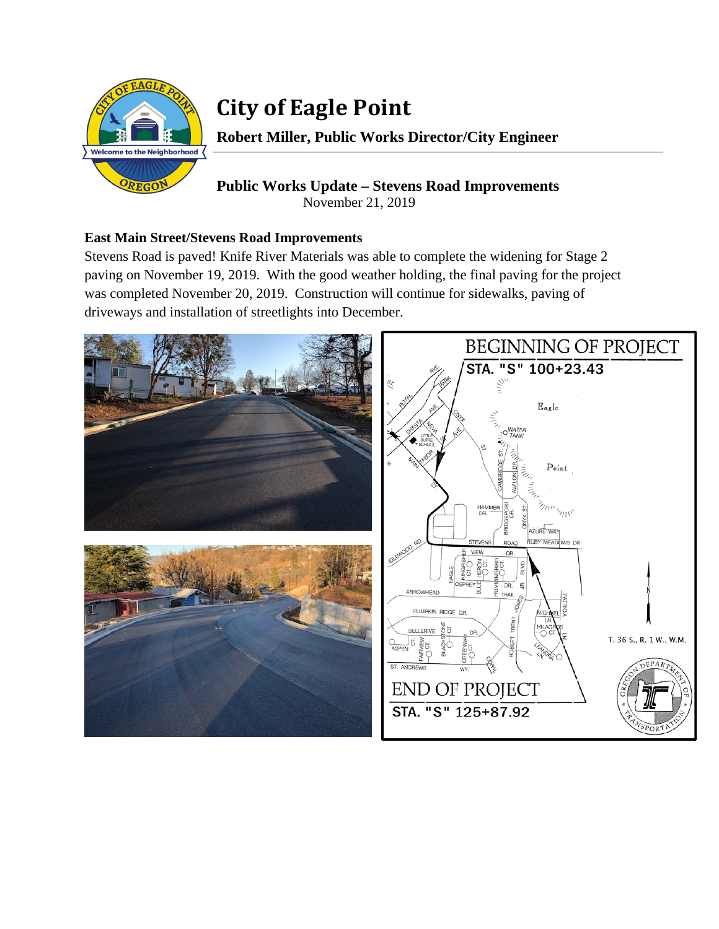

# **City of Eagle Point**

**Robert Miller, Public Works Director/City Engineer** 

## **Public Works Update – Stevens Road Improvements**  November 21, 2019

## **East Main Street/Stevens Road Improvements**

Stevens Road is paved! Knife River Materials was able to complete the widening for Stage 2 paving on November 19, 2019. With the good weather holding, the final paving for the project was completed November 20, 2019. Construction will continue for sidewalks, paving of driveways and installation of streetlights into December.

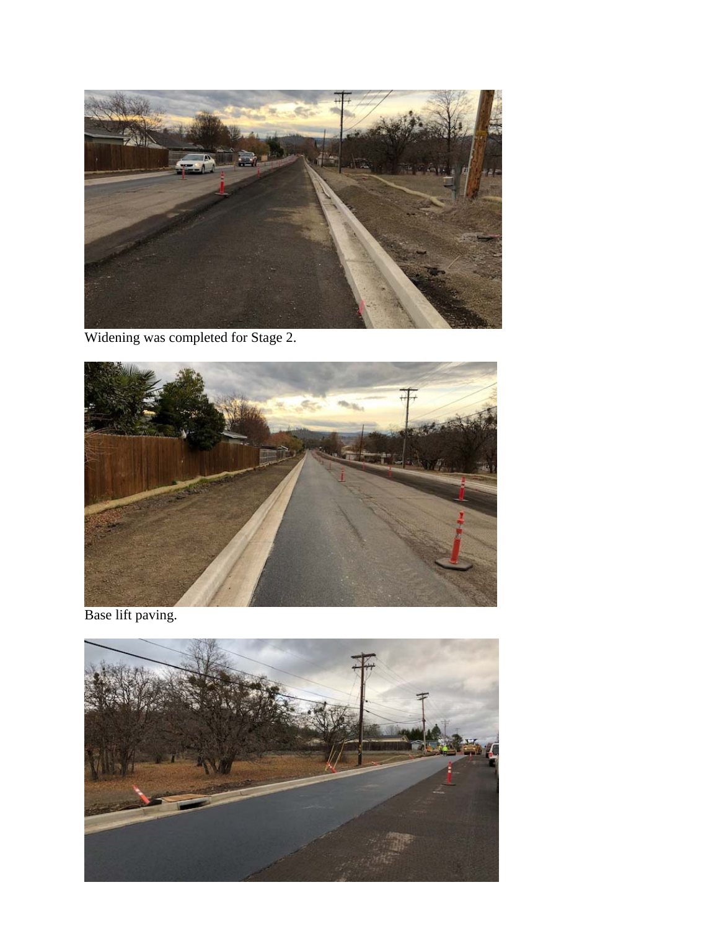

Widening was completed for Stage 2.



Base lift paving.

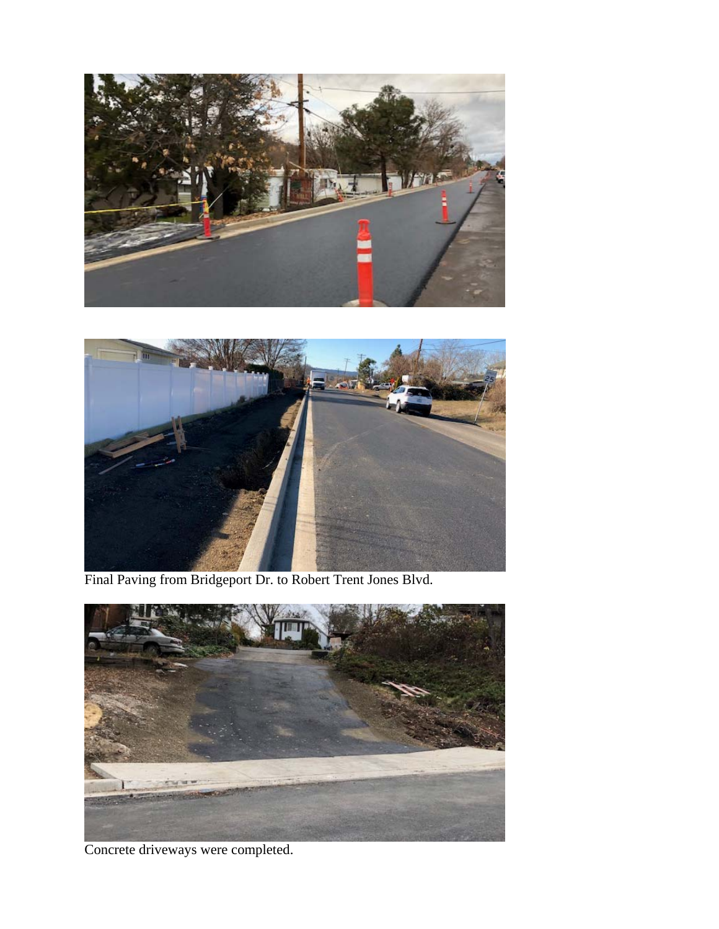



Final Paving from Bridgeport Dr. to Robert Trent Jones Blvd.



Concrete driveways were completed.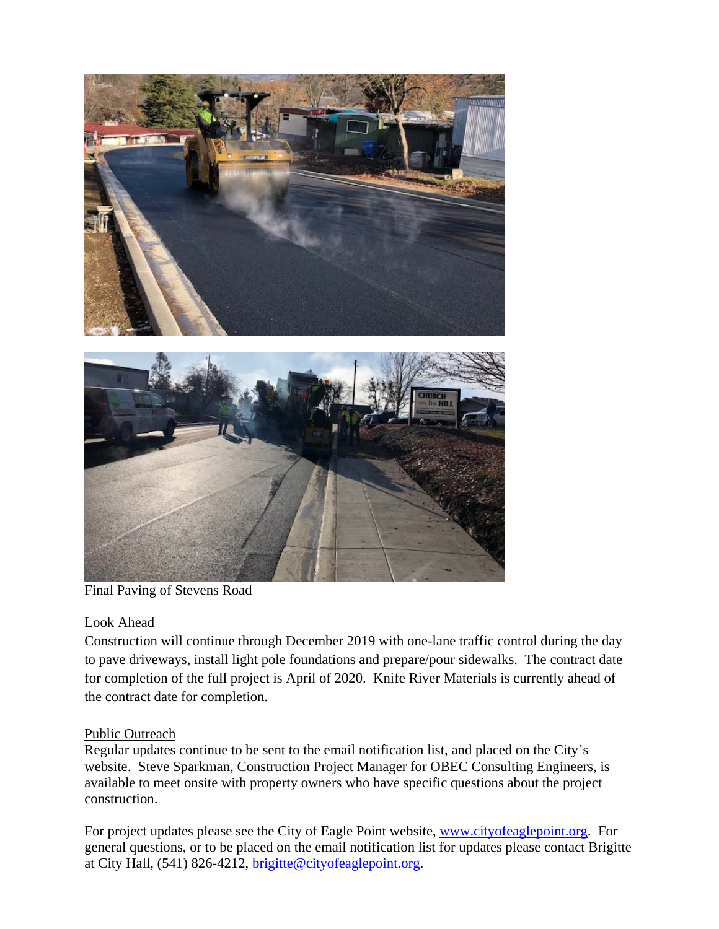

Final Paving of Stevens Road

### Look Ahead

Construction will continue through December 2019 with one-lane traffic control during the day to pave driveways, install light pole foundations and prepare/pour sidewalks. The contract date for completion of the full project is April of 2020. Knife River Materials is currently ahead of the contract date for completion.

### Public Outreach

Regular updates continue to be sent to the email notification list, and placed on the City's website. Steve Sparkman, Construction Project Manager for OBEC Consulting Engineers, is available to meet onsite with property owners who have specific questions about the project construction.

For project updates please see the City of Eagle Point website, www.cityofeaglepoint.org. For general questions, or to be placed on the email notification list for updates please contact Brigitte at City Hall, (541) 826-4212, brigitte@cityofeaglepoint.org.